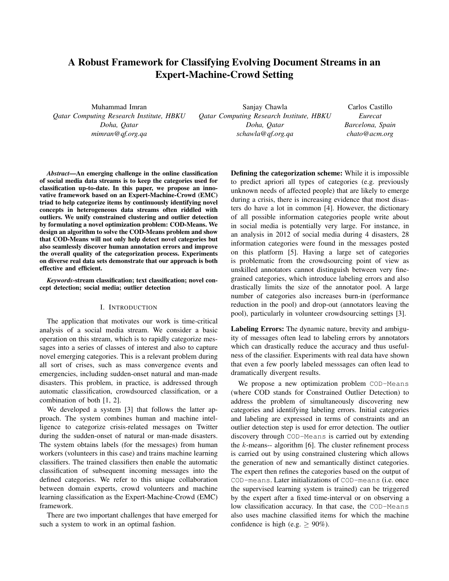# A Robust Framework for Classifying Evolving Document Streams in an Expert-Machine-Crowd Setting

Muhammad Imran *Qatar Computing Research Institute, HBKU Doha, Qatar mimran@qf.org.qa*

Sanjay Chawla *Qatar Computing Research Institute, HBKU Doha, Qatar schawla@qf.org.qa*

Carlos Castillo *Eurecat Barcelona, Spain chato@acm.org*

*Abstract*—An emerging challenge in the online classification of social media data streams is to keep the categories used for classification up-to-date. In this paper, we propose an innovative framework based on an Expert-Machine-Crowd (EMC) triad to help categorize items by continuously identifying novel concepts in heterogeneous data streams often riddled with outliers. We unify constrained clustering and outlier detection by formulating a novel optimization problem: COD-Means. We design an algorithm to solve the COD-Means problem and show that COD-Means will not only help detect novel categories but also seamlessly discover human annotation errors and improve the overall quality of the categorization process. Experiments on diverse real data sets demonstrate that our approach is both effective and efficient.

*Keywords*-stream classification; text classification; novel concept detection; social media; outlier detection

## I. INTRODUCTION

The application that motivates our work is time-critical analysis of a social media stream. We consider a basic operation on this stream, which is to rapidly categorize messages into a series of classes of interest and also to capture novel emerging categories. This is a relevant problem during all sort of crises, such as mass convergence events and emergencies, including sudden-onset natural and man-made disasters. This problem, in practice, is addressed through automatic classification, crowdsourced classification, or a combination of both [1, 2].

We developed a system [3] that follows the latter approach. The system combines human and machine intelligence to categorize crisis-related messages on Twitter during the sudden-onset of natural or man-made disasters. The system obtains labels (for the messages) from human workers (volunteers in this case) and trains machine learning classifiers. The trained classifiers then enable the automatic classification of subsequent incoming messages into the defined categories. We refer to this unique collaboration between domain experts, crowd volunteers and machine learning classification as the Expert-Machine-Crowd (EMC) framework.

There are two important challenges that have emerged for such a system to work in an optimal fashion.

Defining the categorization scheme: While it is impossible to predict apriori all types of categories (e.g. previously unknown needs of affected people) that are likely to emerge during a crisis, there is increasing evidence that most disasters do have a lot in common [4]. However, the dictionary of all possible information categories people write about in social media is potentially very large. For instance, in an analysis in 2012 of social media during 4 disasters, 28 information categories were found in the messages posted on this platform [5]. Having a large set of categories is problematic from the crowdsourcing point of view as unskilled annotators cannot distinguish between very finegrained categories, which introduce labeling errors and also drastically limits the size of the annotator pool. A large number of categories also increases burn-in (performance reduction in the pool) and drop-out (annotators leaving the pool), particularly in volunteer crowdsourcing settings [3].

Labeling Errors: The dynamic nature, brevity and ambiguity of messages often lead to labeling errors by annotators which can drastically reduce the accuracy and thus usefulness of the classifier. Experiments with real data have shown that even a few poorly labeled messsages can often lead to dramatically divergent results.

We propose a new optimization problem COD-Means (where COD stands for Constrained Outlier Detection) to address the problem of simultaneously discovering new categories and identifying labeling errors. Initial categories and labeling are expressed in terms of constraints and an outlier detection step is used for error detection. The outlier discovery through COD-Means is carried out by extending the  $k$ -means-- algorithm [6]. The cluster refinement process is carried out by using constrained clustering which allows the generation of new and semantically distinct categories. The expert then refines the categories based on the output of COD-means. Later initializations of COD-means (i.e. once the supervised learning system is trained) can be triggered by the expert after a fixed time-interval or on observing a low classification accuracy. In that case, the COD-Means also uses machine classified items for which the machine confidence is high (e.g.  $\geq 90\%$ ).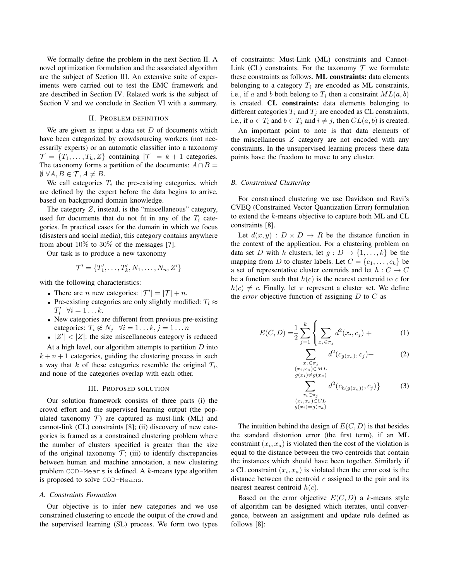We formally define the problem in the next Section II. A novel optimization formulation and the associated algorithm are the subject of Section III. An extensive suite of experiments were carried out to test the EMC framework and are described in Section IV. Related work is the subject of Section V and we conclude in Section VI with a summary.

# II. PROBLEM DEFINITION

We are given as input a data set  $D$  of documents which have been categorized by crowdsourcing workers (not necessarily experts) or an automatic classifier into a taxonomy  $\mathcal{T} = \{T_1, \ldots, T_k, Z\}$  containing  $|\mathcal{T}| = k + 1$  categories. The taxonomy forms a partition of the documents:  $A \cap B =$  $\emptyset$   $\forall A, B \in \mathcal{T}, A \neq B$ .

We call categories  $T_i$  the pre-existing categories, which are defined by the expert before the data begins to arrive, based on background domain knowledge.

The category Z, instead, is the "miscellaneous" category, used for documents that do not fit in any of the  $T_i$  categories. In practical cases for the domain in which we focus (disasters and social media), this category contains anywhere from about  $10\%$  to  $30\%$  of the messages [7].

Our task is to produce a new taxonomy

$$
\mathcal{T}' = \{T'_1, \ldots, T'_k, N_1, \ldots, N_n, Z'\}
$$

with the following characteristics:

- There are *n* new categories:  $|\mathcal{T}'| = |\mathcal{T}| + n$ .
- Pre-existing categories are only slightly modified:  $T_i \approx$  $T'_i \quad \forall i = 1 \ldots k.$
- New categories are different from previous pre-existing categories:  $T_i \not\approx N_j \quad \forall i = 1 \dots k, j = 1 \dots n$
- $|Z'| < |Z|$ : the size miscellaneous category is reduced

At a high level, our algorithm attempts to partition  $D$  into  $k + n + 1$  categories, guiding the clustering process in such a way that  $k$  of these categories resemble the original  $T_i$ , and none of the categories overlap with each other.

## III. PROPOSED SOLUTION

Our solution framework consists of three parts (i) the crowd effort and the supervised learning output (the populated taxonomy  $T$ ) are captured as must-link (ML) and cannot-link (CL) constraints [8]; (ii) discovery of new categories is framed as a constrained clustering problem where the number of clusters specified is greater than the size of the original taxonomy  $\mathcal{T}$ ; (iii) to identify discrepancies between human and machine annotation, a new clustering problem  $COD-Means$  is defined. A  $k$ -means type algorithm is proposed to solve COD-Means.

### *A. Constraints Formation*

Our objective is to infer new categories and we use constrained clustering to encode the output of the crowd and the supervised learning (SL) process. We form two types of constraints: Must-Link (ML) constraints and Cannot-Link (CL) constraints. For the taxonomy  $T$  we formulate these constraints as follows. ML constraints: data elements belonging to a category  $T_i$  are encoded as ML constraints, i.e., if a and b both belong to  $T_i$  then a constraint  $ML(a, b)$ is created. CL constraints: data elements belonging to different categories  $T_i$  and  $T_j$  are encoded as CL constraints, i.e., if  $a \in T_i$  and  $b \in T_j$  and  $i \neq j$ , then  $CL(a, b)$  is created.

An important point to note is that data elements of the miscellaneous Z category are not encoded with any constraints. In the unsupervised learning process these data points have the freedom to move to any cluster.

## *B. Constrained Clustering*

For constrained clustering we use Davidson and Ravi's CVEQ (Constrained Vector Quantization Error) formulation to extend the k-means objective to capture both ML and CL constraints [8].

Let  $d(x, y) : D \times D \rightarrow R$  be the distance function in the context of the application. For a clustering problem on data set D with k clusters, let  $g: D \to \{1, \ldots, k\}$  be the mapping from D to cluster labels. Let  $C = \{c_1, \ldots, c_k\}$  be a set of representative cluster centroids and let  $h: C \rightarrow C$ be a function such that  $h(c)$  is the nearest centeroid to c for  $h(c) \neq c$ . Finally, let  $\pi$  represent a cluster set. We define the *error* objective function of assigning  $D$  to  $C$  as

$$
E(C, D) = \frac{1}{2} \sum_{j=1}^{k} \left\{ \sum_{x_i \in \pi_j} d^2(x_i, c_j) + \right\}
$$
 (1)

$$
\sum_{x_i \in \pi_j} d^2(c_{g(x_a)}, c_j) + \tag{2}
$$

 $(2)$ 

$$
\sum_{x_i \neq g(x_a)}^{x_a \in ML} d^2(c_{h(g(x_a))}, c_j)
$$

$$
\sum_{\substack{x_i \in \pi_j \\ (x_i, x_a) \in CL \\ g(x_i) = g(x_a)}} d \left( c_{h(g(x_a))}, c_j \right) \tag{3}
$$

The intuition behind the design of  $E(C, D)$  is that besides the standard distortion error (the first term), if an ML constraint  $(x_i, x_a)$  is violated then the cost of the violation is equal to the distance between the two centroids that contain the instances which should have been together. Similarly if a CL constraint  $(x_i, x_a)$  is violated then the error cost is the distance between the centroid  $c$  assigned to the pair and its nearest nearest centroid  $h(c)$ .

 $(x_i$  $q(z)$ 

Based on the error objective  $E(C, D)$  a k-means style of algorithm can be designed which iterates, until convergence, between an assignment and update rule defined as follows [8]: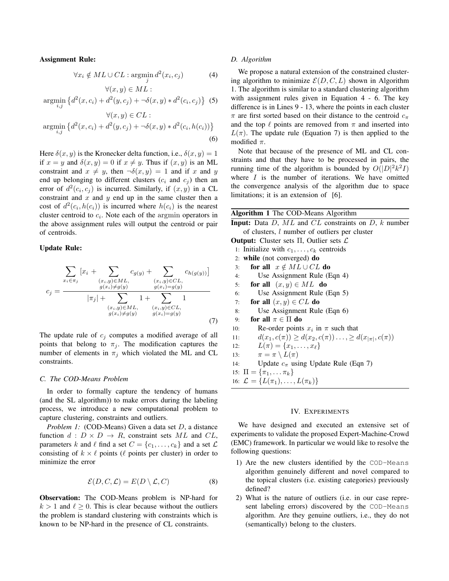## Assignment Rule:

$$
\forall x_i \notin ML \cup CL : \operatorname*{argmin}_{j} d^2(x_i, c_j)
$$
 (4)

$$
\forall (x, y) \in ML :
$$
  
argmin<sub>i,j</sub> { $d^2(x, c_i) + d^2(y, c_j) + \neg \delta(x, y) * d^2(c_i, c_j)$ } (5)

$$
\forall (x, y) \in CL :
$$
  
argmin<sub>*i,j*</sub> { $d^2(x, c_i) + d^2(y, c_j) + \neg \delta(x, y) * d^2(c_i, h(c_i))$ }  
(6)

Here  $\delta(x, y)$  is the Kronecker delta function, i.e.,  $\delta(x, y) = 1$ if  $x = y$  and  $\delta(x, y) = 0$  if  $x \neq y$ . Thus if  $(x, y)$  is an ML constraint and  $x \neq y$ , then  $\neg \delta(x, y) = 1$  and if x and y end up belonging to different clusters  $(c_i$  and  $c_j$ ) then an error of  $d^2(c_i, c_j)$  is incurred. Similarly, if  $(x, y)$  in a CL constraint and  $x$  and  $y$  end up in the same cluster then a cost of  $d^2(c_i, h(c_i))$  is incurred where  $h(c_i)$  is the nearest cluster centroid to  $c_i$ . Note each of the argmin operators in the above assignment rules will output the centroid or pair of centroids.

## Update Rule:

$$
c_{j} = \frac{\sum_{x_{i} \in \pi_{j}} [x_{i} + \sum_{(x_{i}, y) \in ML, (x_{i}, y) \in CL, (x_{i}, y) \in CL, (x_{i}, y) \in CL, (x_{i}, y) \in GL)} [x_{j}] + \sum_{(x_{i}, y) \in ML, (x_{i}, y) \in CL, (x_{i}, y) \in CL, (x_{i}, y) \in GL, (x_{i}, y) \in GL, (x_{i}, y) \in GL})} [x_{j}] + \sum_{(x_{i}, y) \in ML, (x_{i}, y) \in CL, (x_{i}, y) \in GL} [x_{j}]
$$
\n(7)

The update rule of  $c_i$  computes a modified average of all points that belong to  $\pi_j$ . The modification captures the number of elements in  $\pi_j$  which violated the ML and CL constraints.

## *C. The COD-Means Problem*

In order to formally capture the tendency of humans (and the SL algorithm)) to make errors during the labeling process, we introduce a new computational problem to capture clustering, constraints and outliers.

*Problem 1:* (COD-Means) Given a data set D, a distance function  $d : D \times D \to R$ , constraint sets ML and CL, parameters k and  $\ell$  find a set  $C = \{c_1, \ldots, c_k\}$  and a set  $\mathcal{L}$ consisting of  $k \times \ell$  points ( $\ell$  points per cluster) in order to minimize the error

$$
\mathcal{E}(D, C, \mathcal{L}) = E(D \setminus \mathcal{L}, C)
$$
 (8)

Observation: The COD-Means problem is NP-hard for  $k > 1$  and  $\ell \geq 0$ . This is clear because without the outliers the problem is standard clustering with constraints which is known to be NP-hard in the presence of CL constraints.

## *D. Algorithm*

We propose a natural extension of the constrained clustering algorithm to minimize  $\mathcal{E}(D, C, L)$  shown in Algorithm 1. The algorithm is similar to a standard clustering algorithm with assignment rules given in Equation 4 - 6. The key difference is in Lines 9 - 13, where the points in each cluster  $\pi$  are first sorted based on their distance to the centroid  $c_{\pi}$ and the top  $\ell$  points are removed from  $\pi$  and inserted into  $L(\pi)$ . The update rule (Equation 7) is then applied to the modified  $\pi$ .

Note that because of the presence of ML and CL constraints and that they have to be processed in pairs, the running time of the algorithm is bounded by  $O(|D|^2k^2I)$ where  $I$  is the number of iterations. We have omitted the convergence analysis of the algorithm due to space limitations; it is an extension of [6].

| <b>Algorithm 1</b> The COD-Means Algorithm                                  |
|-----------------------------------------------------------------------------|
| <b>Input:</b> Data $D$ , $ML$ and $CL$ constraints on $D$ , $k$ number      |
| of clusters, l number of outliers per cluster                               |
| <b>Output:</b> Cluster sets $\Pi$ , Outlier sets $\mathcal{L}$              |
| 1: Initialize with $c_1, \ldots, c_k$ centroids                             |
| 2: while (not converged) $do$                                               |
| for all $x \notin ML \cup CL$ do<br>3:                                      |
| Use Assignment Rule (Eqn 4)<br>4:                                           |
| for all $(x, y) \in ML$ do<br>5:                                            |
| Use Assignment Rule (Eqn 5)<br>6:                                           |
| for all $(x, y) \in CL$ do<br>7:                                            |
| Use Assignment Rule (Eqn 6)<br>8:                                           |
| for all $\pi \in \Pi$ do<br>9:                                              |
| Re-order points $x_i$ in $\pi$ such that<br>10:                             |
| $d(x_1, c(\pi)) \geq d(x_2, c(\pi)) \dots \geq d(x_{ \pi }, c(\pi))$<br>11: |
| $L(\pi) = \{x_1, \ldots, x_\ell\}$<br>12:                                   |
| $\pi = \pi \setminus L(\pi)$<br>13:                                         |
| Update $c_{\pi}$ using Update Rule (Eqn 7)<br>14:                           |
| 15: $\Pi = {\pi_1, \ldots, \pi_k}$                                          |
| 16: $\mathcal{L} = \{L(\pi_1), \ldots, L(\pi_k)\}\$                         |

# IV. EXPERIMENTS

We have designed and executed an extensive set of experiments to validate the proposed Expert-Machine-Crowd (EMC) framework. In particular we would like to resolve the following questions:

- 1) Are the new clusters identified by the COD-Means algorithm genuinely different and novel compared to the topical clusters (i.e. existing categories) previously defined?
- 2) What is the nature of outliers (i.e. in our case represent labeling errors) discovered by the COD-Means algorithm. Are they genuine outliers, i.e., they do not (semantically) belong to the clusters.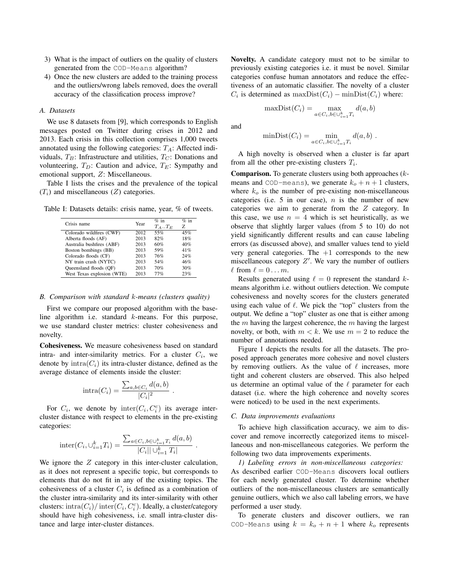- 3) What is the impact of outliers on the quality of clusters generated from the COD-Means algorithm?
- 4) Once the new clusters are added to the training process and the outliers/wrong labels removed, does the overall accuracy of the classification process improve?

## *A. Datasets*

We use 8 datasets from [9], which corresponds to English messages posted on Twitter during crises in 2012 and 2013. Each crisis in this collection comprises 1,000 tweets annotated using the following categories:  $T_A$ : Affected individuals,  $T_B$ : Infrastructure and utilities,  $T_C$ : Donations and volunteering,  $T_D$ : Caution and advice,  $T_E$ : Sympathy and emotional support, Z: Miscellaneous.

Table I lists the crises and the prevalence of the topical  $(T_i)$  and miscellaneous  $(Z)$  categories.

Table I: Datasets details: crisis name, year, % of tweets.

| Crisis name                | Year | $%$ in      | $%$ in |  |
|----------------------------|------|-------------|--------|--|
|                            |      | $T_A$ $T_E$ | Z      |  |
| Colorado wildfires (CWF)   | 2012 | 55%         | 45%    |  |
| Alberta floods (AF)        | 2013 | 82%         | 18%    |  |
| Australia bushfires (ABF)  | 2013 | 60%         | 40%    |  |
| Boston bombings (BB)       | 2013 | 59%         | 41%    |  |
| Colorado floods (CF)       | 2013 | 76%         | 24%    |  |
| NY train crash (NYTC)      | 2013 | 54%         | 46%    |  |
| Queensland floods (QF)     | 2013 | 70%         | 30%    |  |
| West Texas explosion (WTE) | 2013 | 77%         | 23%    |  |

#### *B. Comparison with standard* k*-means (clusters quality)*

First we compare our proposed algorithm with the baseline algorithm i.e. standard k-means. For this purpose, we use standard cluster metrics: cluster cohesiveness and novelty.

Cohesiveness. We measure cohesiveness based on standard intra- and inter-similarity metrics. For a cluster  $C_i$ , we denote by  $intra(C_i)$  its intra-cluster distance, defined as the average distance of elements inside the cluster:

$$
\text{intra}(C_i) = \frac{\sum_{a,b \in C_i} d(a,b)}{|C_i|^2}.
$$

For  $C_i$ , we denote by inter $(C_i, C_i^c)$  its average intercluster distance with respect to elements in the pre-existing categories:

inter
$$
(C_i, \bigcup_{i=1}^k T_i)
$$
 = 
$$
\frac{\sum_{a \in C_i, b \in \bigcup_{i=1}^k T_i} d(a, b)}{|C_i| |\bigcup_{i=1}^k T_i|}
$$

.

We ignore the Z category in this inter-cluster calculation, as it does not represent a specific topic, but corresponds to elements that do not fit in any of the existing topics. The cohesiveness of a cluster  $C_i$  is defined as a combination of the cluster intra-similarity and its inter-similarity with other clusters:  $\mathrm{intra}(C_i)/\mathrm{inter}(C_i,C_i^c)$ . Ideally, a cluster/category should have high cohesiveness, i.e. small intra-cluster distance and large inter-cluster distances.

Novelty. A candidate category must not to be similar to previously existing categories i.e. it must be novel. Similar categories confuse human annotators and reduce the effectiveness of an automatic classifier. The novelty of a cluster  $C_i$  is determined as  $\text{maxDist}(C_i) - \text{minDist}(C_i)$  where:

$$
\max\text{Dist}(C_i) = \max_{a \in C_i, b \in \cup_{i=1}^k T_i} d(a, b)
$$

and

$$
\text{minDist}(C_i) = \min_{a \in C_i, b \in \cup_{i=1}^k T_i} d(a, b) .
$$

A high novelty is observed when a cluster is far apart from all the other pre-existing clusters  $T_i$ .

**Comparison.** To generate clusters using both approaches  $(k$ means and COD-means), we generate  $k_o + n + 1$  clusters, where  $k_0$  is the number of pre-existing non-miscellaneous categories (i.e. 5 in our case),  $n$  is the number of new categories we aim to generate from the Z category. In this case, we use  $n = 4$  which is set heuristically, as we observe that slightly larger values (from 5 to 10) do not yield significantly different results and can cause labeling errors (as discussed above), and smaller values tend to yield very general categories. The  $+1$  corresponds to the new miscellaneous category  $Z'$ . We vary the number of outliers  $\ell$  from  $\ell = 0 \ldots m$ .

Results generated using  $\ell = 0$  represent the standard kmeans algorithm i.e. without outliers detection. We compute cohesiveness and novelty scores for the clusters generated using each value of  $\ell$ . We pick the "top" clusters from the output. We define a "top" cluster as one that is either among the  $m$  having the largest coherence, the  $m$  having the largest novelty, or both, with  $m < k$ . We use  $m = 2$  to reduce the number of annotations needed.

Figure 1 depicts the results for all the datasets. The proposed approach generates more cohesive and novel clusters by removing outliers. As the value of  $\ell$  increases, more tight and coherent clusters are observed. This also helped us determine an optimal value of the  $\ell$  parameter for each dataset (i.e. where the high coherence and novelty scores were noticed) to be used in the next experiments.

## *C. Data improvements evaluations*

To achieve high classification accuracy, we aim to discover and remove incorrectly categorized items to miscellaneous and non-miscellaneous categories. We perform the following two data improvements experiments.

*1) Labeling errors in non-miscellaneous categories:* As described earlier COD-Means discovers local outliers for each newly generated cluster. To determine whether outliers of the non-miscellaneous clusters are semantically genuine outliers, which we also call labeling errors, we have performed a user study.

To generate clusters and discover outliers, we ran COD-Means using  $k = k_o + n + 1$  where  $k_o$  represents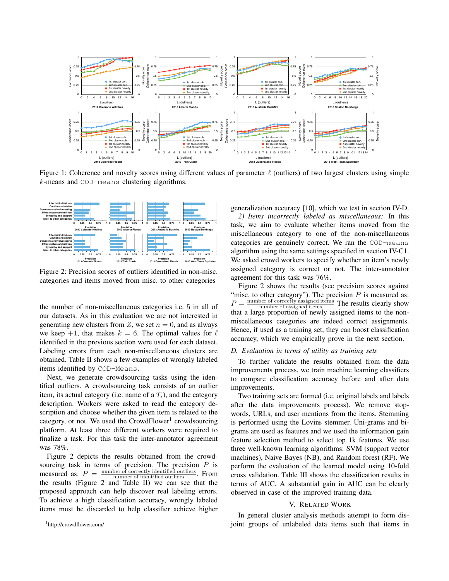

Figure 1: Coherence and novelty scores using different values of parameter  $\ell$  (outliers) of two largest clusters using simple k-means and COD-means clustering algorithms.



Figure 2: Precision scores of outliers identified in non-misc. categories and items moved from misc. to other categories

Labeling errors from each non-miscellaneous clusters are obtained. Table II shows a few examples of wrongly labeled items identified by COD-Means. the number of non-miscellaneous categories i.e. 5 in all of our datasets. As in this evaluation we are not interested in generating new clusters from Z, we set  $n = 0$ , and as always we keep  $+1$ , that makes  $k = 6$ . The optimal values for  $\ell$ identified in the previous section were used for each dataset.

Next, we generate crowdsourcing tasks using the identified outliers. A crowdsourcing task consists of an outlier item, its actual category (i.e. name of a  $T_i$ ), and the category description. Workers were asked to read the category description and choose whether the given item is related to the category, or not. We used the CrowdFlower<sup>1</sup> crowdsourcing platform. At least three different workers were required to finalize a task. For this task the inter-annotator agreement was 78%.

Figure 2 depicts the results obtained from the crowdsourcing task in terms of precision. The precision  $P$  is measured as:  $P = \frac{\text{number of correctly identified outliers}}{\text{number of identified outliers}}$ . From the results (Figure 2 and Table II) we can see that the proposed approach can help discover real labeling errors. To achieve a high classification accuracy, wrongly labeled items must be discarded to help classifier achieve higher generalization accuracy [10], which we test in section IV-D.

*2) Items incorrectly labeled as miscellaneous:* In this task, we aim to evaluate whether items moved from the miscellaneous category to one of the non-miscellaneous categories are genuinely correct. We ran the COD-means algorithm using the same settings specified in section IV-C1. We asked crowd workers to specify whether an item's newly assigned category is correct or not. The inter-annotator agreement for this task was 76%.

Figure 2 shows the results (see precision scores against "misc. to other category"). The precision  $P$  is measured as:  $P = \frac{\text{number of correctly assigned items}}{\text{number of assigned items}}$  The results clearly show  $t =$  number of assigned items  $t = 1$  increasing show that a large proportion of newly assigned items to the nonmiscellaneous categories are indeed correct assignments. Hence, if used as a training set, they can boost classification accuracy, which we empirically prove in the next section.

## *D. Evaluation in terms of utility as training sets*

To further validate the results obtained from the data improvements process, we train machine learning classifiers to compare classification accuracy before and after data improvements.

Two training sets are formed (i.e. original labels and labels after the data improvements process). We remove stopwords, URLs, and user mentions from the items. Stemming is performed using the Lovins stemmer. Uni-grams and bigrams are used as features and we used the information gain feature selection method to select top 1k features. We use three well-known learning algorithms: SVM (support vector machines), Naive Bayes (NB), and Random forest (RF). We perform the evaluation of the learned model using 10-fold cross validation. Table III shows the classification results in terms of AUC. A substantial gain in AUC can be clearly observed in case of the improved training data.

## V. RELATED WORK

In general cluster analysis methods attempt to form disjoint groups of unlabeled data items such that items in